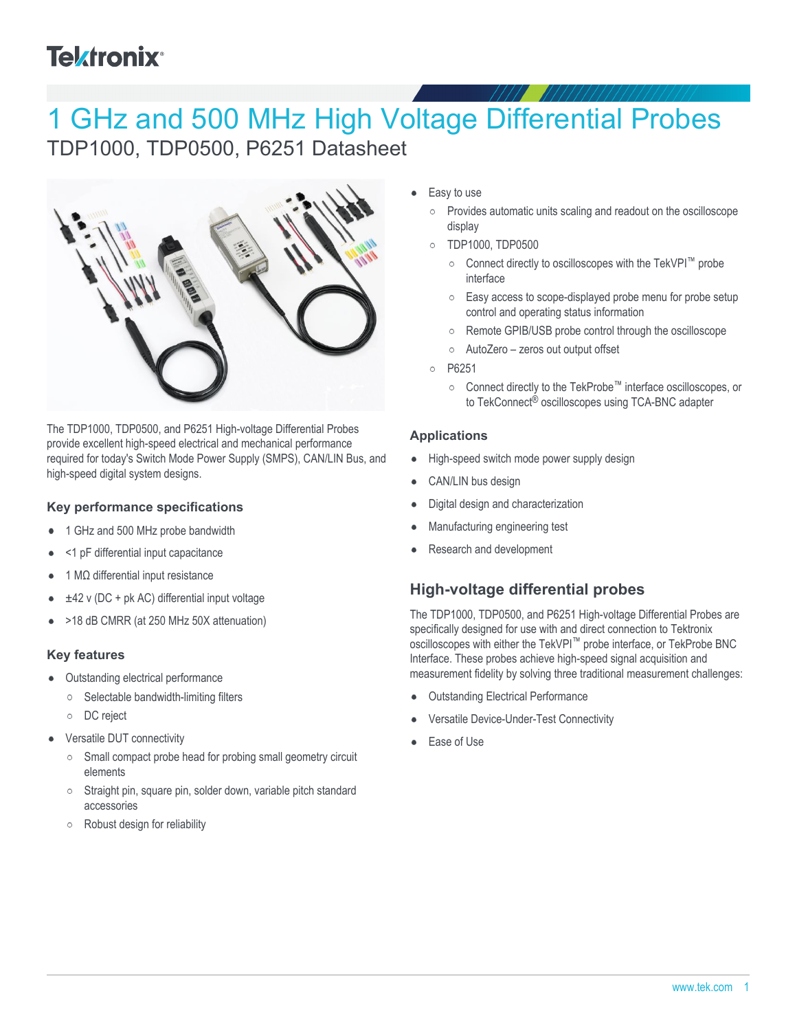# **Tektronix®**

# 1 GHz and 500 MHz High Voltage Differential Probes TDP1000, TDP0500, P6251 Datasheet



The TDP1000, TDP0500, and P6251 High-voltage Differential Probes provide excellent high-speed electrical and mechanical performance required for today's Switch Mode Power Supply (SMPS), CAN/LIN Bus, and high-speed digital system designs.

## **Key performance specifications**

- 1 GHz and 500 MHz probe bandwidth
- <1 pF differential input capacitance
- 1 MΩ differential input resistance
- ±42 v (DC + pk AC) differential input voltage
- >18 dB CMRR (at 250 MHz 50X attenuation)

## **Key features**

- Outstanding electrical performance
	- $\circ$  Selectable bandwidth-limiting filters
	- DC reject
- Versatile DUT connectivity
	- $\circ$  Small compact probe head for probing small geometry circuit elements
	- Straight pin, square pin, solder down, variable pitch standard accessories
	- $\circ$ Robust design for reliability
- Easy to use
	- Provides automatic units scaling and readout on the oscilloscope  $\circ$ display
	- TDP1000, TDP0500  $\circ$ 
		- Connect directly to oscilloscopes with the TekVPI™ probe interface
		- $\circ$ Easy access to scope-displayed probe menu for probe setup control and operating status information
		- Remote GPIB/USB probe control through the oscilloscope  $\circ$
		- $\circ$ AutoZero – zeros out output offset
	- P6251  $\circ$ 
		- Connect directly to the TekProbe™ interface oscilloscopes, or to TekConnect® oscilloscopes using TCA-BNC adapter

### **Applications**

- High-speed switch mode power supply design  $\bullet$
- CAN/LIN bus design
- Digital design and characterization
- Manufacturing engineering test
- Research and development

## **High-voltage differential probes**

The TDP1000, TDP0500, and P6251 High-voltage Differential Probes are specifically designed for use with and direct connection to Tektronix oscilloscopes with either the TekVPI™ probe interface, or TekProbe BNC Interface. These probes achieve high-speed signal acquisition and measurement fidelity by solving three traditional measurement challenges:

- Outstanding Electrical Performance
- Versatile Device-Under-Test Connectivity
- Ease of Use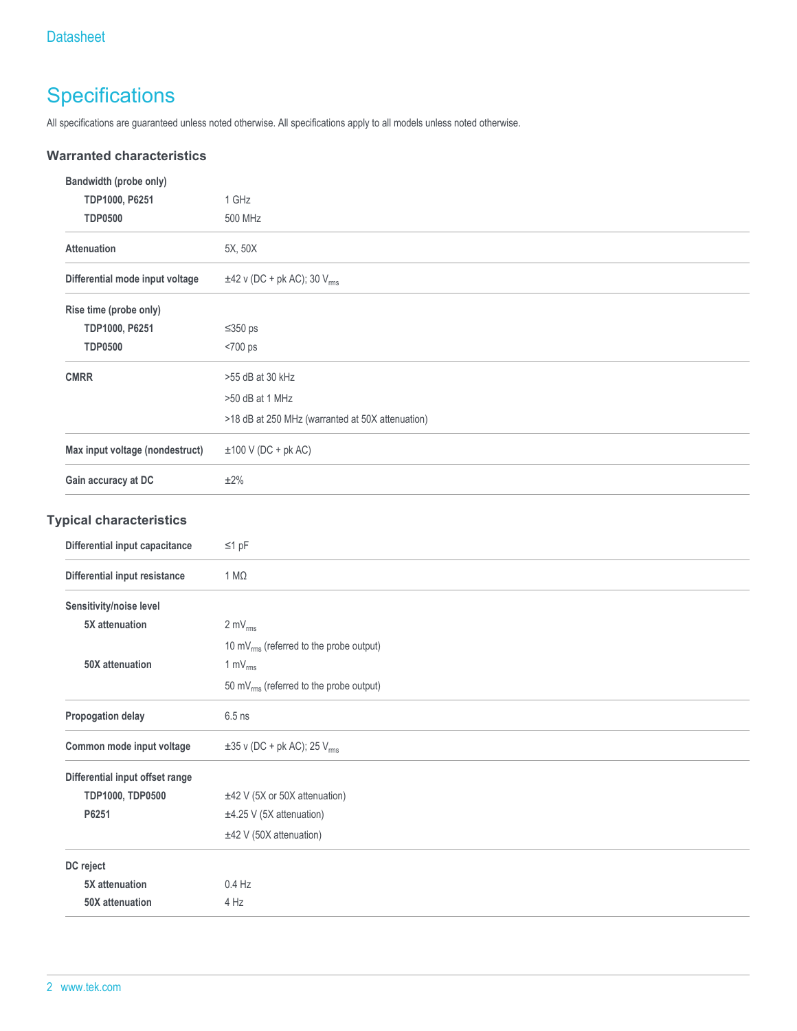## **Specifications**

All specifications are guaranteed unless noted otherwise. All specifications apply to all models unless noted otherwise.

### **Warranted characteristics**

| Bandwidth (probe only)          |                                                     |  |  |
|---------------------------------|-----------------------------------------------------|--|--|
| TDP1000, P6251                  | 1 GHz                                               |  |  |
| <b>TDP0500</b>                  | 500 MHz                                             |  |  |
| <b>Attenuation</b>              | 5X, 50X                                             |  |  |
| Differential mode input voltage | $\pm 42$ v (DC + pk AC); 30 $V_{rms}$               |  |  |
| Rise time (probe only)          |                                                     |  |  |
| TDP1000, P6251                  | $≤350 ps$                                           |  |  |
| <b>TDP0500</b>                  | <700 ps                                             |  |  |
| <b>CMRR</b>                     | >55 dB at 30 kHz                                    |  |  |
|                                 | >50 dB at 1 MHz                                     |  |  |
|                                 | >18 dB at 250 MHz (warranted at 50X attenuation)    |  |  |
| Max input voltage (nondestruct) | $\pm 100$ V (DC + pk AC)                            |  |  |
| Gain accuracy at DC             | ±2%                                                 |  |  |
| <b>Typical characteristics</b>  |                                                     |  |  |
| Differential input capacitance  | $\leq 1$ pF                                         |  |  |
| Differential input resistance   | $1 M\Omega$                                         |  |  |
| Sensitivity/noise level         |                                                     |  |  |
| 5X attenuation                  | $2 \text{ mV}_{\text{rms}}$                         |  |  |
|                                 | 10 mV <sub>rms</sub> (referred to the probe output) |  |  |
| 50X attenuation                 | 1 $mv_{rms}$                                        |  |  |
|                                 | 50 mV <sub>rms</sub> (referred to the probe output) |  |  |
| Propogation delay               | $6.5$ ns                                            |  |  |
| Common mode input voltage       | $\pm 35$ v (DC + pk AC); 25 V <sub>rms</sub>        |  |  |

| Differential input offset range |                               |  |  |  |  |
|---------------------------------|-------------------------------|--|--|--|--|
| <b>TDP1000, TDP0500</b>         | ±42 V (5X or 50X attenuation) |  |  |  |  |
| P6251                           | $±4.25$ V (5X attenuation)    |  |  |  |  |
|                                 | $±42$ V (50X attenuation)     |  |  |  |  |
| DC reject                       |                               |  |  |  |  |
| 5X attenuation                  | $0.4$ Hz                      |  |  |  |  |
| 50X attenuation                 | $4$ Hz                        |  |  |  |  |
|                                 |                               |  |  |  |  |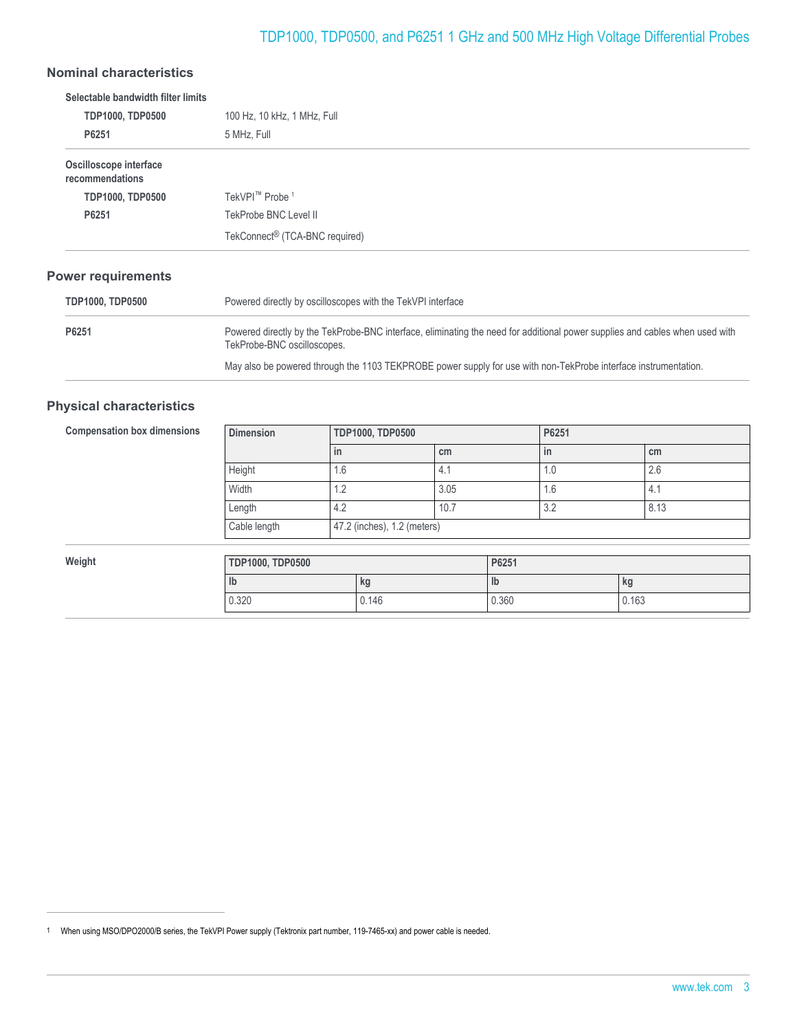## TDP1000, TDP0500, and P6251 1 GHz and 500 MHz High Voltage Differential Probes

## **Nominal characteristics**

| 100 Hz, 10 kHz, 1 MHz, Full                |  |  |  |
|--------------------------------------------|--|--|--|
|                                            |  |  |  |
| 5 MHz, Full                                |  |  |  |
|                                            |  |  |  |
| TekVPI <sup>™</sup> Probe <sup>1</sup>     |  |  |  |
| TekProbe BNC Level II                      |  |  |  |
| TekConnect <sup>®</sup> (TCA-BNC required) |  |  |  |
|                                            |  |  |  |

### **Power requirements**

| <b>TDP1000, TDP0500</b> | Powered directly by oscilloscopes with the TekVPI interface                                                                                                 |  |  |
|-------------------------|-------------------------------------------------------------------------------------------------------------------------------------------------------------|--|--|
| P6251                   | Powered directly by the TekProbe-BNC interface, eliminating the need for additional power supplies and cables when used with<br>TekProbe-BNC oscilloscopes. |  |  |
|                         | May also be powered through the 1103 TEKPROBE power supply for use with non-TekProbe interface instrumentation.                                             |  |  |

#### **Physical characteristics**

| <b>Compensation box dimensions</b> | <b>Dimension</b>        |     | <b>TDP1000, TDP0500</b>     |       |               | P6251 |       |
|------------------------------------|-------------------------|-----|-----------------------------|-------|---------------|-------|-------|
|                                    |                         | in  |                             | cm    |               | in    | cm    |
|                                    | Height                  | 1.6 |                             | 4.1   |               | 1.0   | 2.6   |
|                                    | Width                   | 1.2 |                             | 3.05  |               | 1.6   | 4.1   |
|                                    | Length                  | 4.2 |                             | 10.7  |               | 3.2   | 8.13  |
|                                    | Cable length            |     | 47.2 (inches), 1.2 (meters) |       |               |       |       |
|                                    |                         |     |                             |       |               |       |       |
| Weight                             | <b>TDP1000, TDP0500</b> |     |                             | P6251 |               |       |       |
|                                    | lb                      |     | kg                          |       | $\mathsf{lb}$ |       | kg    |
|                                    | 0.320                   |     | 0.146                       |       | 0.360         |       | 0.163 |

<sup>1</sup> When using MSO/DPO2000/B series, the TekVPI Power supply (Tektronix part number, 119-7465-xx) and power cable is needed.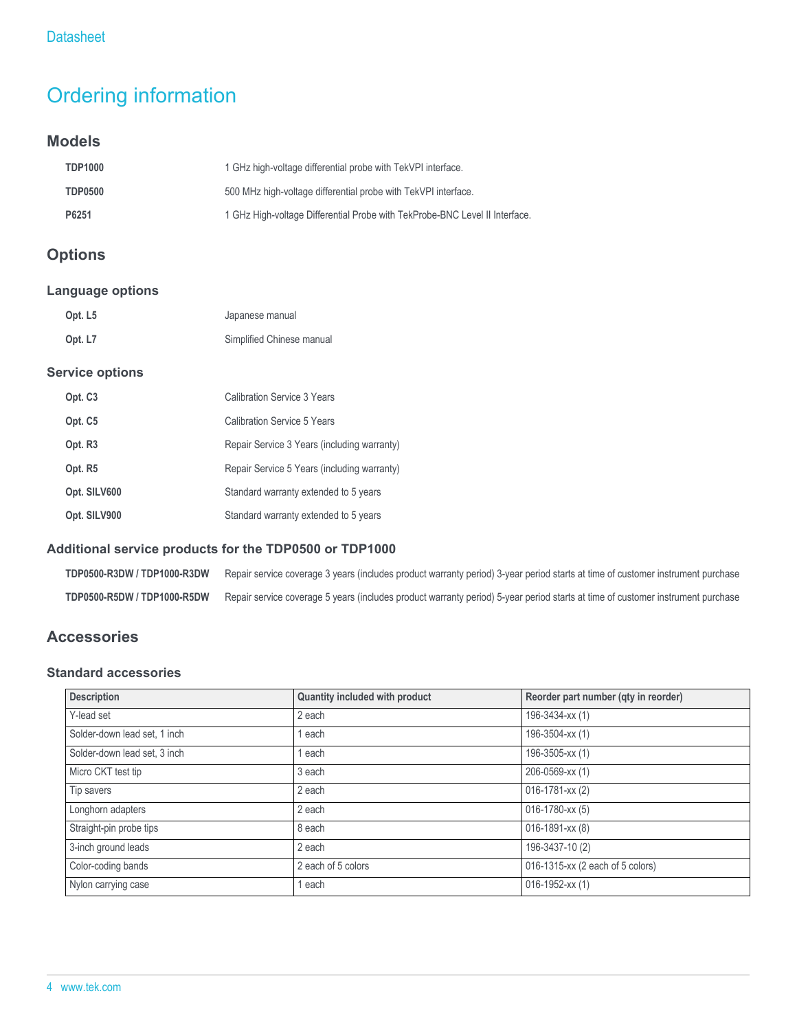## Ordering information

## **Models**

| <b>TDP1000</b> | 1 GHz high-voltage differential probe with TekVPI interface.                |
|----------------|-----------------------------------------------------------------------------|
| <b>TDP0500</b> | 500 MHz high-voltage differential probe with TekVPI interface.              |
| P6251          | 1 GHz High-voltage Differential Probe with TekProbe-BNC Level II Interface. |

## **Options**

## **Language options**

| Opt. L5 | Japanese manual           |
|---------|---------------------------|
| Opt. L7 | Simplified Chinese manual |

#### **Service options**

| Opt. C <sub>3</sub> | Calibration Service 3 Years                 |
|---------------------|---------------------------------------------|
| Opt. C <sub>5</sub> | <b>Calibration Service 5 Years</b>          |
| Opt. R3             | Repair Service 3 Years (including warranty) |
| Opt. R5             | Repair Service 5 Years (including warranty) |
| Opt. SILV600        | Standard warranty extended to 5 years       |
| Opt. SILV900        | Standard warranty extended to 5 years       |

## **Additional service products for the TDP0500 or TDP1000**

| TDP0500-R3DW / TDP1000-R3DW Repair service coverage 3 years (includes product warranty period) 3-year period starts at time of customer instrument purchase |
|-------------------------------------------------------------------------------------------------------------------------------------------------------------|
| TDP0500-R5DW / TDP1000-R5DW Repair service coverage 5 years (includes product warranty period) 5-year period starts at time of customer instrument purchase |

## **Accessories**

## **Standard accessories**

| <b>Description</b>           | Quantity included with product | Reorder part number (qty in reorder) |
|------------------------------|--------------------------------|--------------------------------------|
| Y-lead set                   | 2 each                         | 196-3434-xx (1)                      |
| Solder-down lead set, 1 inch | 1 each                         | 196-3504-xx (1)                      |
| Solder-down lead set, 3 inch | 1 each                         | 196-3505-xx (1)                      |
| Micro CKT test tip           | 3 each                         | 206-0569-xx (1)                      |
| Tip savers                   | 2 each                         | $016 - 1781 - xx(2)$                 |
| Longhorn adapters            | 2 each                         | 016-1780-xx (5)                      |
| Straight-pin probe tips      | 8 each                         | 016-1891-xx (8)                      |
| 3-inch ground leads          | 2 each                         | 196-3437-10 (2)                      |
| Color-coding bands           | 2 each of 5 colors             | 016-1315-xx (2 each of 5 colors)     |
| Nylon carrying case          | 1 each                         | $016 - 1952 - xx(1)$                 |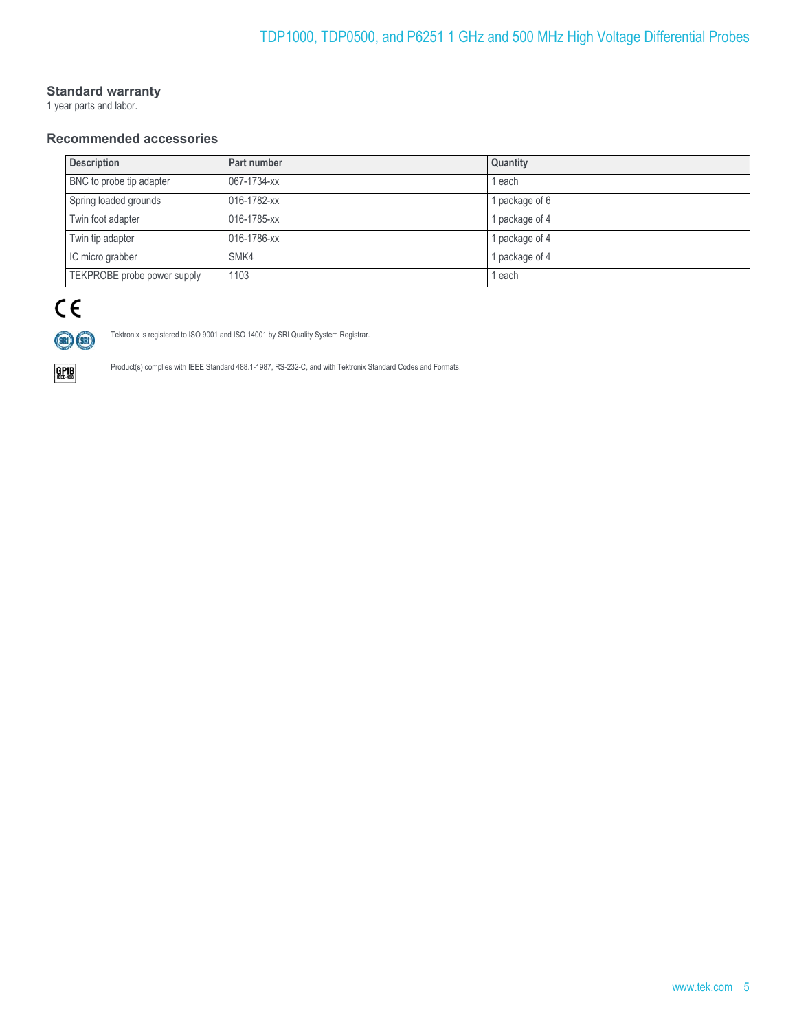#### **Standard warranty**

1 year parts and labor.

### **Recommended accessories**

| <b>Description</b>          | Part number | Quantity       |
|-----------------------------|-------------|----------------|
| BNC to probe tip adapter    | 067-1734-xx | 1 each         |
| Spring loaded grounds       | 016-1782-xx | 1 package of 6 |
| Twin foot adapter           | 016-1785-xx | 1 package of 4 |
| Twin tip adapter            | 016-1786-xx | 1 package of 4 |
| IC micro grabber            | SMK4        | 1 package of 4 |
| TEKPROBE probe power supply | 1103        | 1 each         |

# $C \in$



Tektronix is registered to ISO 9001 and ISO 14001 by SRI Quality System Registrar.



Product(s) complies with IEEE Standard 488.1-1987, RS-232-C, and with Tektronix Standard Codes and Formats.